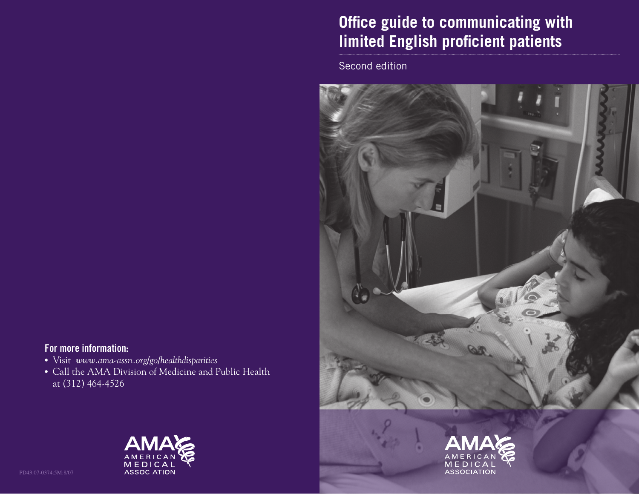# **Office guide to communicating with limited English proficient patients**

Second edition



# For more information:

• Visit *www.ama-assn.org/go/healthdisparities*

 • Call the AMA Division of Medicine and Public Health at (312) 464-4526





PD43:07-0374:5M:8/07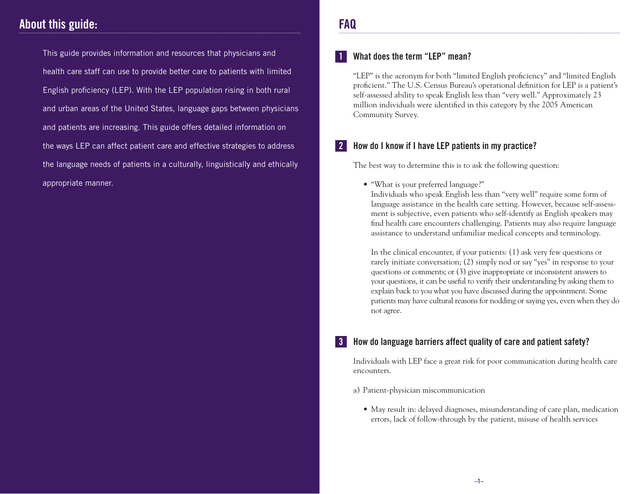# About this guide:

 This guide provides information and resources that physicians and health care staff can use to provide better care to patients with limited English proficiency (LEP). With the LEP population rising in both rural and urban areas of the United States, language gaps between physicians and patients are increasing. This guide offers detailed information on the ways LEP can affect patient care and effective strategies to address the language needs of patients in a culturally, linguistically and ethically appropriate manner.

# FAQ

### What does the term "LEP" mean?

 "LEP" is the acronym for both "limited English proficiency" and "limited English proficient." The U.S. Census Bureau's operational definition for LEP is a patient's self-assessed ability to speak English less than "very well." Approximately 23 million individuals were identified in this category by the 2005 American Community Survey.

# **2** How do I know if I have LEP patients in my practice?

The best way to determine this is to ask the following question:

• "What is your preferred language?"

 Individuals who speak English less than "very well" require some form of language assistance in the health care setting. However, because self-assessment is subjective, even patients who self-identify as English speakers may find health care encounters challenging. Patients may also require language assistance to understand unfamiliar medical concepts and terminology.

 In the clinical encounter, if your patients: (1) ask very few questions or rarely initiate conversation; (2) simply nod or say "yes" in response to your questions or comments; or (3) give inappropriate or inconsistent answers to your questions, it can be useful to verify their understanding by asking them to explain back to you what you have discussed during the appointment. Some patients may have cultural reasons for nodding or saying yes, even when they do not agree.

# How do language barriers affect quality of care and patient safety?

 Individuals with LEP face a great risk for poor communication during health care encounters.

- a) Patient-physician miscommunication
	- May result in: delayed diagnoses, misunderstanding of care plan, medication errors, lack of follow-through by the patient, misuse of health services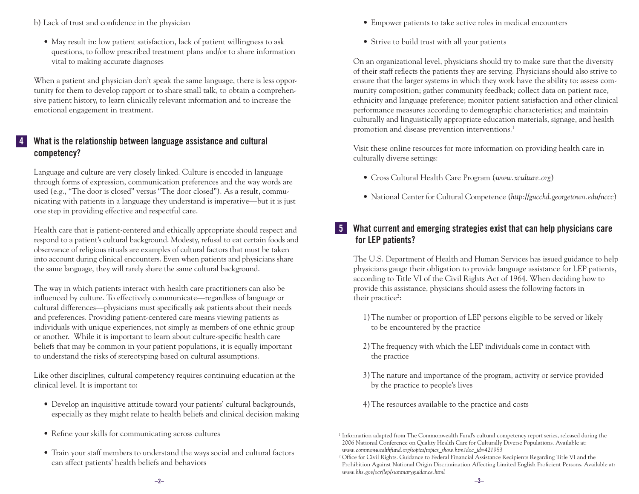b) Lack of trust and confidence in the physician

 • May result in: low patient satisfaction, lack of patient willingness to ask questions, to follow prescribed treatment plans and/or to share information vital to making accurate diagnoses

 When a patient and physician don't speak the same language, there is less opportunity for them to develop rapport or to share small talk, to obtain a comprehensive patient history, to learn clinically relevant information and to increase the emotional engagement in treatment.

## 4 What is the relationship between language assistance and cultural competency?

 Language and culture are very closely linked. Culture is encoded in language through forms of expression, communication preferences and the way words are used (e.g., "The door is closed" versus "The door closed"). As a result, communicating with patients in a language they understand is imperative—but it is just one step in providing effective and respectful care.

 Health care that is patient-centered and ethically appropriate should respect and respond to a patient's cultural background. Modesty, refusal to eat certain foods and observance of religious rituals are examples of cultural factors that must be taken into account during clinical encounters. Even when patients and physicians share the same language, they will rarely share the same cultural background.

 The way in which patients interact with health care practitioners can also be influenced by culture. To effectively communicate—regardless of language or cultural differences—physicians must specifically ask patients about their needs and preferences. Providing patient-centered care means viewing patients as individuals with unique experiences, not simply as members of one ethnic group or another. While it is important to learn about culture-specific health care beliefs that may be common in your patient populations, it is equally important to understand the risks of stereotyping based on cultural assumptions.

 Like other disciplines, cultural competency requires continuing education at the clinical level. It is important to:

- Develop an inquisitive attitude toward your patients' cultural backgrounds, especially as they might relate to health beliefs and clinical decision making
- Refine your skills for communicating across cultures
- Train your staff members to understand the ways social and cultural factors can affect patients' health beliefs and behaviors
- Empower patients to take active roles in medical encounters
- Strive to build trust with all your patients

 On an organizational level, physicians should try to make sure that the diversity of their staff reflects the patients they are serving. Physicians should also strive to ensure that the larger systems in which they work have the ability to: assess community composition; gather community feedback; collect data on patient race, ethnicity and language preference; monitor patient satisfaction and other clinical performance measures according to demographic characteristics; and maintain culturally and linguistically appropriate education materials, signage, and health promotion and disease prevention interventions.<sup>1</sup>

 Visit these online resources for more information on providing health care in culturally diverse settings:

- Cross Cultural Health Care Program (*www.xculture.org*)
- National Center for Cultural Competence (*http://gucchd.georgetown.edu/nccc*)

# 5 What current and emerging strategies exist that can help physicians care for LEP patients?

 The U.S. Department of Health and Human Services has issued guidance to help physicians gauge their obligation to provide language assistance for LEP patients, according to Title VI of the Civil Rights Act of 1964. When deciding how to provide this assistance, physicians should assess the following factors in their practice<sup>2</sup>:

- 1) The number or proportion of LEP persons eligible to be served or likely to be encountered by the practice
- 2) The frequency with which the LEP individuals come in contact with the practice
- 3) The nature and importance of the program, activity or service provided by the practice to people's lives
- 4)The resources available to the practice and costs

<sup>&</sup>lt;sup>1</sup> Information adapted from The Commonwealth Fund's cultural competency report series, released during the 2006 National Conference on Quality Health Care for Culturally Diverse Populations. Available at: *www.commonwealthfund.org/topics/topics\_show.htm?doc\_id=421983* 

<sup>&</sup>lt;sup>2</sup> Office for Civil Rights. Guidance to Federal Financial Assistance Recipients Regarding Title VI and the Prohibition Against National Origin Discrimination Affecting Limited English Proficient Persons. Available at: *www.hhs.gov/ocr/lep/summaryguidance.html*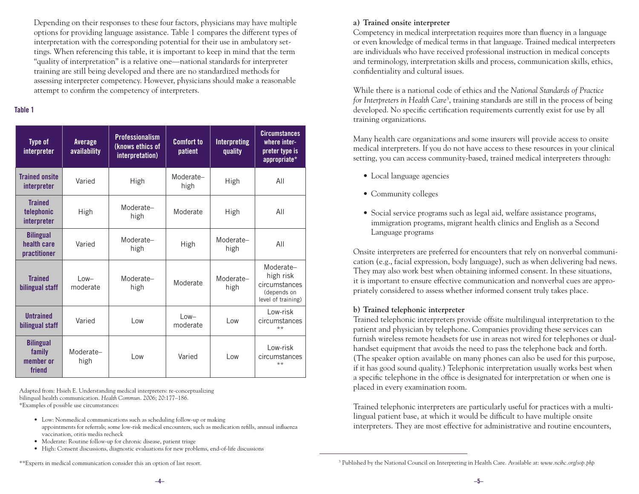Depending on their responses to these four factors, physicians may have multiple options for providing language assistance. Table 1 compares the different types of interpretation with the corresponding potential for their use in ambulatory settings. When referencing this table, it is important to keep in mind that the term "quality of interpretation" is a relative one—national standards for interpreter training are still being developed and there are no standardized methods for assessing interpreter competency. However, physicians should make a reasonable attempt to confirm the competency of interpreters.

#### Table 1

| <b>Type of</b><br>interpreter                     | <b>Average</b><br>availability | <b>Professionalism</b><br>(knows ethics of<br>interpretation) | <b>Comfort to</b><br>patient | <b>Interpreting</b><br>quality | <b>Circumstances</b><br>where inter-<br>preter type is<br>appropriate*       |
|---------------------------------------------------|--------------------------------|---------------------------------------------------------------|------------------------------|--------------------------------|------------------------------------------------------------------------------|
| <b>Trained onsite</b><br>interpreter              | Varied                         | High                                                          | Moderate-<br>high            | High                           | AII                                                                          |
| <b>Trained</b><br>telephonic<br>interpreter       | High                           | Moderate-<br>high                                             | Moderate                     | High                           | AII                                                                          |
| <b>Bilingual</b><br>health care<br>practitioner   | Varied                         | Moderate-<br>high                                             | High                         | Moderate-<br>high              | AII                                                                          |
| <b>Trained</b><br>bilingual staff                 | $low-$<br>moderate             | Moderate-<br>high                                             | Moderate                     | Moderate-<br>high              | Moderate-<br>high risk<br>circumstances<br>(depends on<br>level of training) |
| <b>Untrained</b><br>bilingual staff               | Varied                         | $\overline{\phantom{0}}$ ow                                   | $low-$<br>moderate           | l ow                           | I ow-risk<br>circumstances<br>$***$                                          |
| <b>Bilingual</b><br>family<br>member or<br>friend | Moderate-<br>high              | Low                                                           | Varied                       | l ow                           | I ow-risk<br>circumstances<br>$***$                                          |

Adapted from: Hsieh E. Understanding medical interpreters: re-conceptualizing bilingual health communication. *Health Commun*. 2006; 20:177–186. \*Examples of possible use circumstances:

- Low: Nonmedical communications such as scheduling follow-up or making appointments for referrals; some low-risk medical encounters, such as medication refills, annual influenza vaccination, otitis media recheck
- Moderate: Routine follow-up for chronic disease, patient triage
- High: Consent discussions, diagnostic evaluations for new problems, end-of-life discussions

\*\*Experts in medical communication consider this an option of last resort.

#### **a) Trained onsite interpreter**

 Competency in medical interpretation requires more than fluency in a language or even knowledge of medical terms in that language. Trained medical interpreters are individuals who have received professional instruction in medical concepts and terminology, interpretation skills and process, communication skills, ethics, confidentiality and cultural issues.

 While there is a national code of ethics and the *National Standards of Practice*  for Interpreters in Health Care<sup>3</sup>, training standards are still in the process of being developed. No specific certification requirements currently exist for use by all training organizations.

 Many health care organizations and some insurers will provide access to onsite medical interpreters. If you do not have access to these resources in your clinical setting, you can access community-based, trained medical interpreters through:

- Local language agencies
- Community colleges
- Social service programs such as legal aid, welfare assistance programs, immigration programs, migrant health clinics and English as a Second Language programs

 Onsite interpreters are preferred for encounters that rely on nonverbal communication (e.g., facial expression, body language), such as when delivering bad news. They may also work best when obtaining informed consent. In these situations, it is important to ensure effective communication and nonverbal cues are appropriately considered to assess whether informed consent truly takes place.

#### **b) Trained telephonic interpreter**

 Trained telephonic interpreters provide offsite multilingual interpretation to the patient and physician by telephone. Companies providing these services can furnish wireless remote headsets for use in areas not wired for telephones or dualhandset equipment that avoids the need to pass the telephone back and forth. (The speaker option available on many phones can also be used for this purpose, if it has good sound quality.) Telephonic interpretation usually works best when a specific telephone in the office is designated for interpretation or when one is placed in every examination room.

 Trained telephonic interpreters are particularly useful for practices with a multilingual patient base, at which it would be difficult to have multiple onsite interpreters. They are most effective for administrative and routine encounters,

<sup>3</sup> Published by the National Council on Interpreting in Health Care. Available at: *www.ncihc.org/sop.php*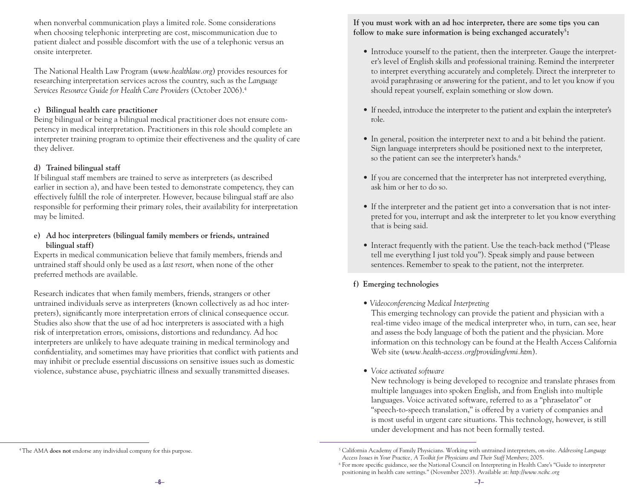when nonverbal communication plays a limited role. Some considerations when choosing telephonic interpreting are cost, miscommunication due to patient dialect and possible discomfort with the use of a telephonic versus an onsite interpreter.

 The National Health Law Program (*www.healthlaw.org*) provides resources for researching interpretation services across the country, such as the *Language Services Resource Guide for Health Care Providers* (October 2006).4

#### **c) Bilingual health care practitioner**

 Being bilingual or being a bilingual medical practitioner does not ensure competency in medical interpretation. Practitioners in this role should complete an interpreter training program to optimize their effectiveness and the quality of care they deliver.

#### **d) Trained bilingual staff**

 If bilingual staff members are trained to serve as interpreters (as described earlier in section a), and have been tested to demonstrate competency, they can effectively fulfill the role of interpreter. However, because bilingual staff are also responsible for performing their primary roles, their availability for interpretation may be limited.

#### **e) Ad hoc interpreters (bilingual family members or friends, untrained bilingual staff)**

Experts in medical communication believe that family members, friends and untrained staff should only be used as a *last resort*, when none of the other preferred methods are available.

 Research indicates that when family members, friends, strangers or other untrained individuals serve as interpreters (known collectively as ad hoc interpreters), significantly more interpretation errors of clinical consequence occur. Studies also show that the use of ad hoc interpreters is associated with a high risk of interpretation errors, omissions, distortions and redundancy. Ad hoc interpreters are unlikely to have adequate training in medical terminology and confidentiality, and sometimes may have priorities that conflict with patients and may inhibit or preclude essential discussions on sensitive issues such as domestic violence, substance abuse, psychiatric illness and sexually transmitted diseases.

**If you must work with an ad hoc interpreter, there are some tips you can follow** to make sure information is being exchanged accurately<sup>5</sup>:

- Introduce yourself to the patient, then the interpreter. Gauge the interpreter's level of English skills and professional training. Remind the interpreter to interpret everything accurately and completely. Direct the interpreter to avoid paraphrasing or answering for the patient, and to let you know if you should repeat yourself, explain something or slow down.
- If needed, introduce the interpreter to the patient and explain the interpreter's role.
- In general, position the interpreter next to and a bit behind the patient. Sign language interpreters should be positioned next to the interpreter, so the patient can see the interpreter's hands.<sup>6</sup>
- If you are concerned that the interpreter has not interpreted everything, ask him or her to do so.
- If the interpreter and the patient get into a conversation that is not interpreted for you, interrupt and ask the interpreter to let you know everything that is being said.
- Interact frequently with the patient. Use the teach-back method ("Please tell me everything I just told you"). Speak simply and pause between sentences. Remember to speak to the patient, not the interpreter.

### **f) Emerging technologies**

 *• Videoconferencing Medical Interpreting* 

 This emerging technology can provide the patient and physician with a real-time video image of the medical interpreter who, in turn, can see, hear and assess the body language of both the patient and the physician. More information on this technology can be found at the Health Access California Web site (*www.health-access.org/providing/vmi.htm*).

 *• Voice activated software*

 New technology is being developed to recognize and translate phrases from multiple languages into spoken English, and from English into multiple languages. Voice activated software, referred to as a "phraselator" or "speech-to-speech translation," is offered by a variety of companies and is most useful in urgent care situations. This technology, however, is still under development and has not been formally tested.

<sup>4</sup> The AMA **does not** endorse any individual company for this purpose. <sup>5</sup> California Academy of Family Physicians. Working with untrained interpreters, on-site. *Addressing Language*  Access Issues in Your Practice, A Toolkit for Physicians and Their Staff Members; 2005.<br><sup>6</sup> For more specific guidance, see the National Council on Interpreting in Health Care's "Guide to interpreter

positioning in health care settings." (November 2003). Available at: *http://www.ncihc.org*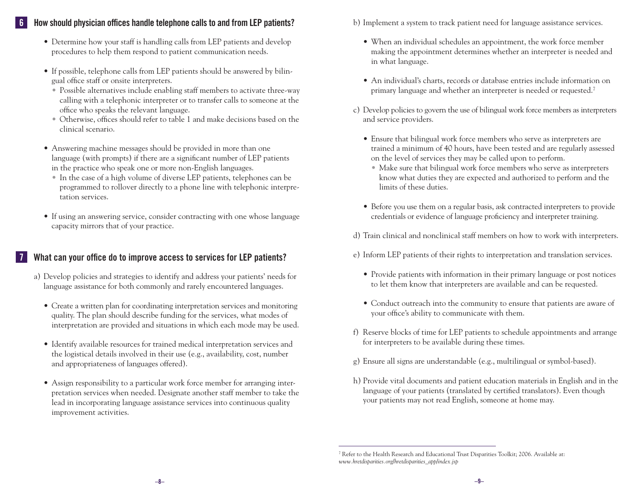### How should physician offices handle telephone calls to and from LEP patients?

- Determine how your staff is handling calls from LEP patients and develop procedures to help them respond to patient communication needs.
- If possible, telephone calls from LEP patients should be answered by bilingual office staff or onsite interpreters.
	- Possible alternatives include enabling staff members to activate three-way calling with a telephonic interpreter or to transfer calls to someone at the office who speaks the relevant language.
	- Otherwise, offices should refer to table 1 and make decisions based on the clinical scenario.
- Answering machine messages should be provided in more than one language (with prompts) if there are a significant number of LEP patients in the practice who speak one or more non-English languages.
	- In the case of a high volume of diverse LEP patients, telephones can be programmed to rollover directly to a phone line with telephonic interpretation services.
- If using an answering service, consider contracting with one whose language capacity mirrors that of your practice.

## What can your office do to improve access to services for LEP patients?

- a) Develop policies and strategies to identify and address your patients' needs for language assistance for both commonly and rarely encountered languages.
	- Create a written plan for coordinating interpretation services and monitoring quality. The plan should describe funding for the services, what modes of interpretation are provided and situations in which each mode may be used.
	- Identify available resources for trained medical interpretation services and the logistical details involved in their use (e.g., availability, cost, number and appropriateness of languages offered).
	- Assign responsibility to a particular work force member for arranging interpretation services when needed. Designate another staff member to take the lead in incorporating language assistance services into continuous quality improvement activities.
- b) Implement a system to track patient need for language assistance services.
	- When an individual schedules an appointment, the work force member making the appointment determines whether an interpreter is needed and in what language.
	- An individual's charts, records or database entries include information on primary language and whether an interpreter is needed or requested.7
- c) Develop policies to govern the use of bilingual work force members as interpreters and service providers.
	- Ensure that bilingual work force members who serve as interpreters are trained a minimum of 40 hours, have been tested and are regularly assessed on the level of services they may be called upon to perform.
		- Make sure that bilingual work force members who serve as interpreters know what duties they are expected and authorized to perform and the limits of these duties.
	- Before you use them on a regular basis, ask contracted interpreters to provide credentials or evidence of language proficiency and interpreter training.
- d) Train clinical and nonclinical staff members on how to work with interpreters.
- e) Inform LEP patients of their rights to interpretation and translation services.
	- Provide patients with information in their primary language or post notices to let them know that interpreters are available and can be requested.
	- Conduct outreach into the community to ensure that patients are aware of your office's ability to communicate with them.
- f) Reserve blocks of time for LEP patients to schedule appointments and arrange for interpreters to be available during these times.
- g) Ensure all signs are understandable (e.g., multilingual or symbol-based).
- h) Provide vital documents and patient education materials in English and in the language of your patients (translated by certified translators). Even though your patients may not read English, someone at home may.

<sup>7</sup> Refer to the Health Research and Educational Trust Disparities Toolkit; 2006. Available at: *www.hretdisparities.org/hretdisparities\_app/index.jsp*